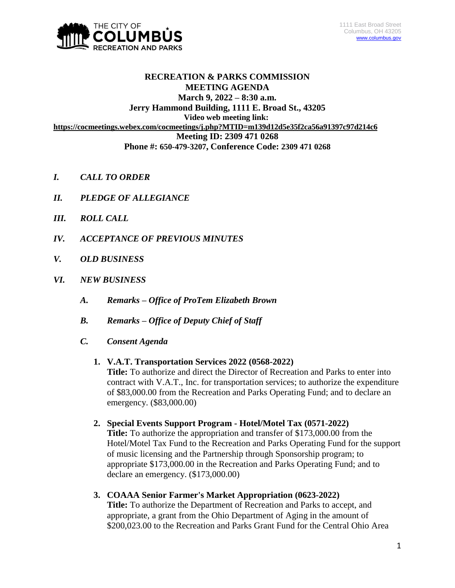

# **RECREATION & PARKS COMMISSION MEETING AGENDA March 9, 2022 – 8:30 a.m. Jerry Hammond Building, 1111 E. Broad St., 43205 Video web meeting link: <https://cocmeetings.webex.com/cocmeetings/j.php?MTID=m139d12d5e35f2ca56a91397c97d214c6> Meeting ID: 2309 471 0268 Phone #: 650-479-3207, Conference Code: 2309 471 0268**

- *I. CALL TO ORDER*
- *II. PLEDGE OF ALLEGIANCE*
- *III. ROLL CALL*
- *IV. ACCEPTANCE OF PREVIOUS MINUTES*
- *V. OLD BUSINESS*
- *VI. NEW BUSINESS*
	- *A. Remarks – Office of ProTem Elizabeth Brown*
	- *B. Remarks – Office of Deputy Chief of Staff*
	- *C. Consent Agenda*

### **1. V.A.T. Transportation Services 2022 (0568-2022)**

**Title:** To authorize and direct the Director of Recreation and Parks to enter into contract with V.A.T., Inc. for transportation services; to authorize the expenditure of \$83,000.00 from the Recreation and Parks Operating Fund; and to declare an emergency. (\$83,000.00)

- **2. Special Events Support Program - Hotel/Motel Tax (0571-2022) Title:** To authorize the appropriation and transfer of \$173,000.00 from the Hotel/Motel Tax Fund to the Recreation and Parks Operating Fund for the support of music licensing and the Partnership through Sponsorship program; to appropriate \$173,000.00 in the Recreation and Parks Operating Fund; and to declare an emergency. (\$173,000.00)
- **3. COAAA Senior Farmer's Market Appropriation (0623-2022) Title:** To authorize the Department of Recreation and Parks to accept, and appropriate, a grant from the Ohio Department of Aging in the amount of \$200,023.00 to the Recreation and Parks Grant Fund for the Central Ohio Area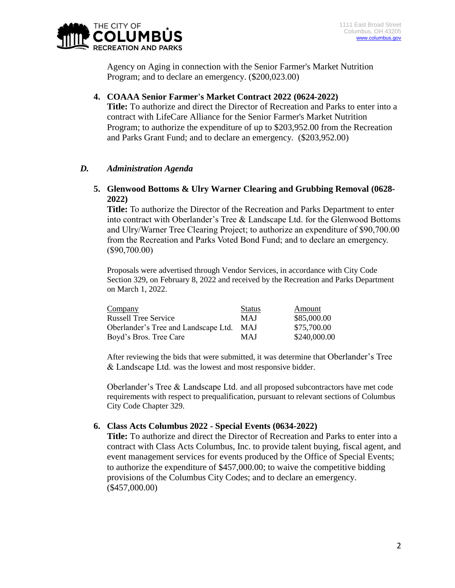

Agency on Aging in connection with the Senior Farmer's Market Nutrition Program; and to declare an emergency. (\$200,023.00)

**4. COAAA Senior Farmer's Market Contract 2022 (0624-2022)**

**Title:** To authorize and direct the Director of Recreation and Parks to enter into a contract with LifeCare Alliance for the Senior Farmer's Market Nutrition Program; to authorize the expenditure of up to \$203,952.00 from the Recreation and Parks Grant Fund; and to declare an emergency. (\$203,952.00)

### *D. Administration Agenda*

# **5. Glenwood Bottoms & Ulry Warner Clearing and Grubbing Removal (0628- 2022)**

**Title:** To authorize the Director of the Recreation and Parks Department to enter into contract with Oberlander's Tree & Landscape Ltd. for the Glenwood Bottoms and Ulry/Warner Tree Clearing Project; to authorize an expenditure of \$90,700.00 from the Recreation and Parks Voted Bond Fund; and to declare an emergency. (\$90,700.00)

Proposals were advertised through Vendor Services, in accordance with City Code Section 329, on February 8, 2022 and received by the Recreation and Parks Department on March 1, 2022.

| Company                              | <b>Status</b> | Amount       |
|--------------------------------------|---------------|--------------|
| <b>Russell Tree Service</b>          | <b>MAJ</b>    | \$85,000.00  |
| Oberlander's Tree and Landscape Ltd. | <b>MAJ</b>    | \$75,700.00  |
| Boyd's Bros. Tree Care               | <b>MAJ</b>    | \$240,000.00 |

After reviewing the bids that were submitted, it was determine that Oberlander's Tree & Landscape Ltd. was the lowest and most responsive bidder.

Oberlander's Tree & Landscape Ltd. and all proposed subcontractors have met code requirements with respect to prequalification, pursuant to relevant sections of Columbus City Code Chapter 329.

### **6. Class Acts Columbus 2022 - Special Events (0634-2022)**

**Title:** To authorize and direct the Director of Recreation and Parks to enter into a contract with Class Acts Columbus, Inc. to provide talent buying, fiscal agent, and event management services for events produced by the Office of Special Events; to authorize the expenditure of \$457,000.00; to waive the competitive bidding provisions of the Columbus City Codes; and to declare an emergency. (\$457,000.00)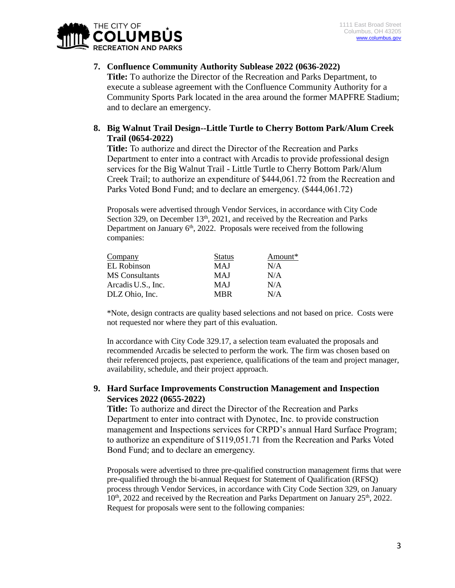

# **7. Confluence Community Authority Sublease 2022 (0636-2022)**

**Title:** To authorize the Director of the Recreation and Parks Department, to execute a sublease agreement with the Confluence Community Authority for a Community Sports Park located in the area around the former MAPFRE Stadium; and to declare an emergency.

# **8. Big Walnut Trail Design--Little Turtle to Cherry Bottom Park/Alum Creek Trail (0654-2022)**

**Title:** To authorize and direct the Director of the Recreation and Parks Department to enter into a contract with Arcadis to provide professional design services for the Big Walnut Trail - Little Turtle to Cherry Bottom Park/Alum Creek Trail; to authorize an expenditure of \$444,061.72 from the Recreation and Parks Voted Bond Fund; and to declare an emergency. (\$444,061.72)

Proposals were advertised through Vendor Services, in accordance with City Code Section 329, on December 13<sup>th</sup>, 2021, and received by the Recreation and Parks Department on January  $6<sup>th</sup>$ , 2022. Proposals were received from the following companies:

| Company               | Status     | Amount* |
|-----------------------|------------|---------|
| EL Robinson           | MAJ        | N/A     |
| <b>MS</b> Consultants | MAJ        | N/A     |
| Arcadis U.S., Inc.    | MAJ        | N/A     |
| DLZ Ohio, Inc.        | <b>MRR</b> | N/A     |

\*Note, design contracts are quality based selections and not based on price. Costs were not requested nor where they part of this evaluation.

In accordance with City Code 329.17, a selection team evaluated the proposals and recommended Arcadis be selected to perform the work. The firm was chosen based on their referenced projects, past experience, qualifications of the team and project manager, availability, schedule, and their project approach.

# **9. Hard Surface Improvements Construction Management and Inspection Services 2022 (0655-2022)**

**Title:** To authorize and direct the Director of the Recreation and Parks Department to enter into contract with Dynotec, Inc. to provide construction management and Inspections services for CRPD's annual Hard Surface Program; to authorize an expenditure of \$119,051.71 from the Recreation and Parks Voted Bond Fund; and to declare an emergency.

Proposals were advertised to three pre-qualified construction management firms that were pre-qualified through the bi-annual Request for Statement of Qualification (RFSQ) process through Vendor Services, in accordance with City Code Section 329, on January  $10<sup>th</sup>$ , 2022 and received by the Recreation and Parks Department on January  $25<sup>th</sup>$ , 2022. Request for proposals were sent to the following companies: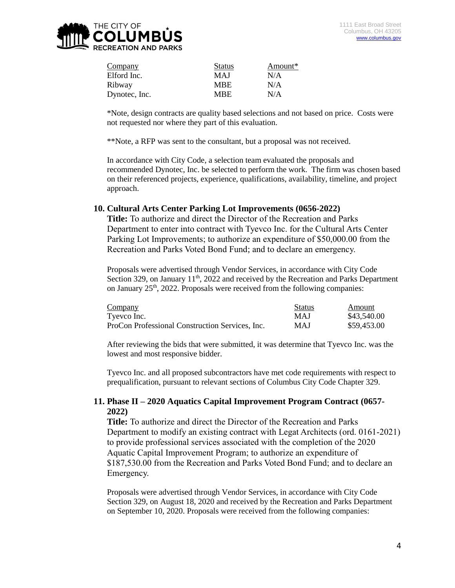

| <b>Status</b> | Amount* |
|---------------|---------|
| <b>MAJ</b>    | N/A     |
| <b>MBE</b>    | N/A     |
| <b>MBE</b>    | N/A     |
|               |         |

\*Note, design contracts are quality based selections and not based on price. Costs were not requested nor where they part of this evaluation.

\*\*Note, a RFP was sent to the consultant, but a proposal was not received.

In accordance with City Code, a selection team evaluated the proposals and recommended Dynotec, Inc. be selected to perform the work. The firm was chosen based on their referenced projects, experience, qualifications, availability, timeline, and project approach.

#### **10. Cultural Arts Center Parking Lot Improvements (0656-2022)**

**Title:** To authorize and direct the Director of the Recreation and Parks Department to enter into contract with Tyevco Inc. for the Cultural Arts Center Parking Lot Improvements; to authorize an expenditure of \$50,000.00 from the Recreation and Parks Voted Bond Fund; and to declare an emergency.

Proposals were advertised through Vendor Services, in accordance with City Code Section 329, on January  $11<sup>th</sup>$ , 2022 and received by the Recreation and Parks Department on January  $25<sup>th</sup>$ , 2022. Proposals were received from the following companies:

| Company                                         | <b>Status</b> | Amount      |
|-------------------------------------------------|---------------|-------------|
| Tyevco Inc.                                     | <b>MAJ</b>    | \$43,540.00 |
| ProCon Professional Construction Services, Inc. | MAJ           | \$59,453.00 |

After reviewing the bids that were submitted, it was determine that Tyevco Inc. was the lowest and most responsive bidder.

Tyevco Inc. and all proposed subcontractors have met code requirements with respect to prequalification, pursuant to relevant sections of Columbus City Code Chapter 329.

#### **11. Phase II – 2020 Aquatics Capital Improvement Program Contract (0657- 2022)**

**Title:** To authorize and direct the Director of the Recreation and Parks Department to modify an existing contract with Legat Architects (ord. 0161-2021) to provide professional services associated with the completion of the 2020 Aquatic Capital Improvement Program; to authorize an expenditure of \$187,530.00 from the Recreation and Parks Voted Bond Fund; and to declare an Emergency.

Proposals were advertised through Vendor Services, in accordance with City Code Section 329, on August 18, 2020 and received by the Recreation and Parks Department on September 10, 2020. Proposals were received from the following companies: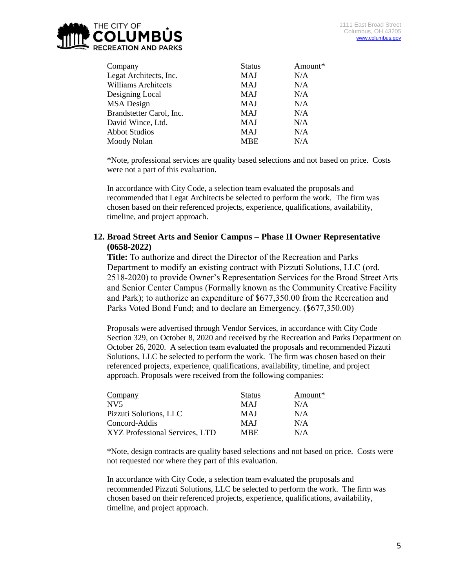

| Company                    | <b>Status</b> | Amount* |
|----------------------------|---------------|---------|
| Legat Architects, Inc.     | <b>MAJ</b>    | N/A     |
| <b>Williams Architects</b> | <b>MAJ</b>    | N/A     |
| Designing Local            | <b>MAJ</b>    | N/A     |
| MSA Design                 | <b>MAJ</b>    | N/A     |
| Brandstetter Carol, Inc.   | <b>MAJ</b>    | N/A     |
| David Wince, Ltd.          | <b>MAJ</b>    | N/A     |
| <b>Abbot Studios</b>       | <b>MAJ</b>    | N/A     |
| Moody Nolan                | <b>MBE</b>    | N/A     |
|                            |               |         |

\*Note, professional services are quality based selections and not based on price. Costs were not a part of this evaluation.

In accordance with City Code, a selection team evaluated the proposals and recommended that Legat Architects be selected to perform the work. The firm was chosen based on their referenced projects, experience, qualifications, availability, timeline, and project approach.

# **12. Broad Street Arts and Senior Campus – Phase II Owner Representative (0658-2022)**

**Title:** To authorize and direct the Director of the Recreation and Parks Department to modify an existing contract with Pizzuti Solutions, LLC (ord. 2518-2020) to provide Owner's Representation Services for the Broad Street Arts and Senior Center Campus (Formally known as the Community Creative Facility and Park); to authorize an expenditure of \$677,350.00 from the Recreation and Parks Voted Bond Fund; and to declare an Emergency. (\$677,350.00)

Proposals were advertised through Vendor Services, in accordance with City Code Section 329, on October 8, 2020 and received by the Recreation and Parks Department on October 26, 2020. A selection team evaluated the proposals and recommended Pizzuti Solutions, LLC be selected to perform the work. The firm was chosen based on their referenced projects, experience, qualifications, availability, timeline, and project approach. Proposals were received from the following companies:

| <b>Status</b> | Amount* |
|---------------|---------|
| <b>MAJ</b>    | N/A     |
| <b>MAJ</b>    | N/A     |
| <b>MAJ</b>    | N/A     |
| MBE.          | N/A     |
|               |         |

\*Note, design contracts are quality based selections and not based on price. Costs were not requested nor where they part of this evaluation.

In accordance with City Code, a selection team evaluated the proposals and recommended Pizzuti Solutions, LLC be selected to perform the work. The firm was chosen based on their referenced projects, experience, qualifications, availability, timeline, and project approach.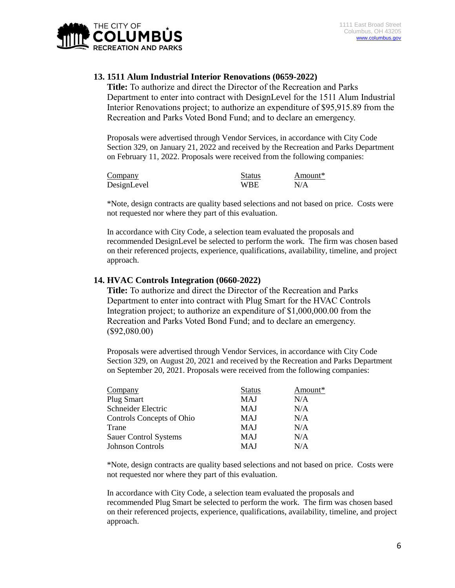

# **13. 1511 Alum Industrial Interior Renovations (0659-2022)**

**Title:** To authorize and direct the Director of the Recreation and Parks Department to enter into contract with DesignLevel for the 1511 Alum Industrial Interior Renovations project; to authorize an expenditure of \$95,915.89 from the Recreation and Parks Voted Bond Fund; and to declare an emergency.

Proposals were advertised through Vendor Services, in accordance with City Code Section 329, on January 21, 2022 and received by the Recreation and Parks Department on February 11, 2022. Proposals were received from the following companies:

| Company     | <b>Status</b> | Amount* |
|-------------|---------------|---------|
| DesignLevel | WBE           | N/A     |

\*Note, design contracts are quality based selections and not based on price. Costs were not requested nor where they part of this evaluation.

In accordance with City Code, a selection team evaluated the proposals and recommended DesignLevel be selected to perform the work. The firm was chosen based on their referenced projects, experience, qualifications, availability, timeline, and project approach.

#### **14. HVAC Controls Integration (0660-2022)**

**Title:** To authorize and direct the Director of the Recreation and Parks Department to enter into contract with Plug Smart for the HVAC Controls Integration project; to authorize an expenditure of \$1,000,000.00 from the Recreation and Parks Voted Bond Fund; and to declare an emergency. (\$92,080.00)

Proposals were advertised through Vendor Services, in accordance with City Code Section 329, on August 20, 2021 and received by the Recreation and Parks Department on September 20, 2021. Proposals were received from the following companies:

| Company                      | <b>Status</b> | Amount* |
|------------------------------|---------------|---------|
| <b>Plug Smart</b>            | <b>MAJ</b>    | N/A     |
| Schneider Electric           | MAJ           | N/A     |
| Controls Concepts of Ohio    | MAJ           | N/A     |
| Trane                        | <b>MAJ</b>    | N/A     |
| <b>Sauer Control Systems</b> | MAJ           | N/A     |
| <b>Johnson Controls</b>      | MAJ           | N/A     |

\*Note, design contracts are quality based selections and not based on price. Costs were not requested nor where they part of this evaluation.

In accordance with City Code, a selection team evaluated the proposals and recommended Plug Smart be selected to perform the work. The firm was chosen based on their referenced projects, experience, qualifications, availability, timeline, and project approach.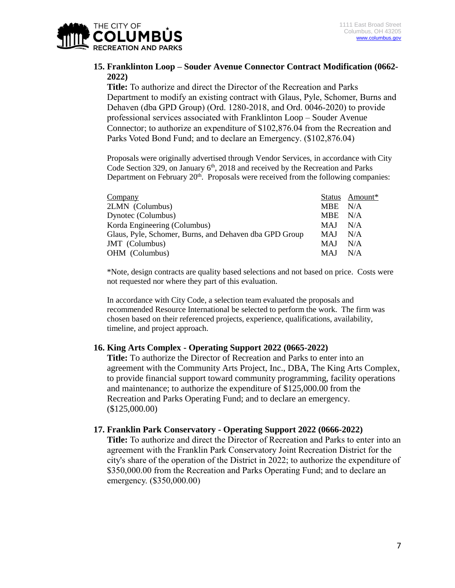

# **15. Franklinton Loop – Souder Avenue Connector Contract Modification (0662- 2022)**

**Title:** To authorize and direct the Director of the Recreation and Parks Department to modify an existing contract with Glaus, Pyle, Schomer, Burns and Dehaven (dba GPD Group) (Ord. 1280-2018, and Ord. 0046-2020) to provide professional services associated with Franklinton Loop – Souder Avenue Connector; to authorize an expenditure of \$102,876.04 from the Recreation and Parks Voted Bond Fund; and to declare an Emergency. (\$102,876.04)

Proposals were originally advertised through Vendor Services, in accordance with City Code Section 329, on January  $6<sup>th</sup>$ , 2018 and received by the Recreation and Parks Department on February 20<sup>th</sup>. Proposals were received from the following companies:

| Company                                                |            | Status Amount* |
|--------------------------------------------------------|------------|----------------|
| 2LMN (Columbus)                                        | MBE N/A    |                |
| Dynotec (Columbus)                                     | MBE N/A    |                |
| Korda Engineering (Columbus)                           | <b>MAJ</b> | N/A            |
| Glaus, Pyle, Schomer, Burns, and Dehaven dba GPD Group | <b>MAJ</b> | N/A            |
| JMT (Columbus)                                         | <b>MAJ</b> | N/A            |
| OHM (Columbus)                                         | <b>MAJ</b> | N/A            |
|                                                        |            |                |

\*Note, design contracts are quality based selections and not based on price. Costs were not requested nor where they part of this evaluation.

In accordance with City Code, a selection team evaluated the proposals and recommended Resource International be selected to perform the work. The firm was chosen based on their referenced projects, experience, qualifications, availability, timeline, and project approach.

#### **16. King Arts Complex - Operating Support 2022 (0665-2022)**

**Title:** To authorize the Director of Recreation and Parks to enter into an agreement with the Community Arts Project, Inc., DBA, The King Arts Complex, to provide financial support toward community programming, facility operations and maintenance; to authorize the expenditure of \$125,000.00 from the Recreation and Parks Operating Fund; and to declare an emergency. (\$125,000.00)

#### **17. Franklin Park Conservatory - Operating Support 2022 (0666-2022)**

**Title:** To authorize and direct the Director of Recreation and Parks to enter into an agreement with the Franklin Park Conservatory Joint Recreation District for the city's share of the operation of the District in 2022; to authorize the expenditure of \$350,000.00 from the Recreation and Parks Operating Fund; and to declare an emergency. (\$350,000.00)